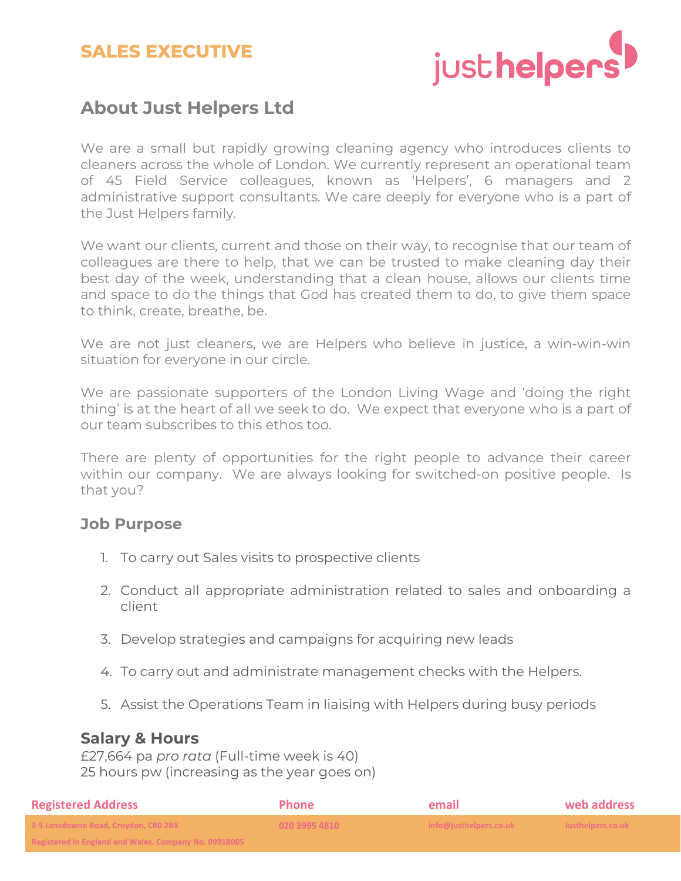## **SALES EXECUTIVE**



## **About Just Helpers Ltd**

We are a small but rapidly growing cleaning agency who introduces clients to cleaners across the whole of London. We currently represent an operational team of 45 Field Service colleagues, known as 'Helpers', 6 managers and 2 administrative support consultants. We care deeply for everyone who is a part of the Just Helpers family.

We want our clients, current and those on their way, to recognise that our team of colleagues are there to help, that we can be trusted to make cleaning day their best day of the week, understanding that a clean house, allows our clients time and space to do the things that God has created them to do, to give them space to think, create, breathe, be.

We are not just cleaners, we are Helpers who believe in justice, a win-win-win situation for everyone in our circle.

We are passionate supporters of the London Living Wage and 'doing the right thing' is at the heart of all we seek to do. We expect that everyone who is a part of our team subscribes to this ethos too.

There are plenty of opportunities for the right people to advance their career within our company. We are always looking for switched-on positive people. Is that you?

#### **Job Purpose**

- 1. To carry out Sales visits to prospective clients
- 2. Conduct all appropriate administration related to sales and onboarding a client
- 3. Develop strategies and campaigns for acquiring new leads
- 4. To carry out and administrate management checks with the Helpers.
- 5. Assist the Operations Team in liaising with Helpers during busy periods

#### **Salary & Hours**

£27,664 pa *pro rata* (Full-time week is 40) 25 hours pw (increasing as the year goes on)

| <b>Registered Address</b>                                                                                                    | <b>Phone</b>  | email                  | web address       |
|------------------------------------------------------------------------------------------------------------------------------|---------------|------------------------|-------------------|
| 3-5 Lansdowne Road, Croydon, CRO 2BX                                                                                         | 020 3995 4810 | info@justhelpers.co.uk | Justhelpers.co.uk |
| Bogictorod in England and Wales, Company No. 0001000E<br><u>NERBIEIEU III LIIRIAIIU AIIU WAIES. CUIIIDAIIV IVU. UJJIOUUJ</u> |               |                        |                   |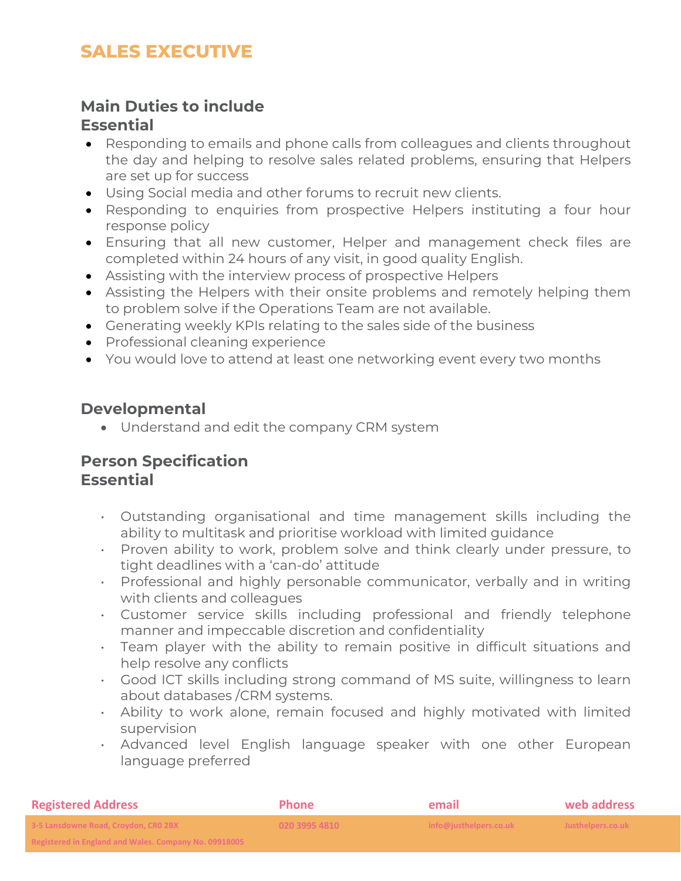# **SALES EXECUTIVE**

#### **Main Duties to include Essential**

- Responding to emails and phone calls from colleagues and clients throughout the day and helping to resolve sales related problems, ensuring that Helpers are set up for success
- Using Social media and other forums to recruit new clients.
- Responding to enquiries from prospective Helpers instituting a four hour response policy
- Ensuring that all new customer, Helper and management check files are completed within 24 hours of any visit, in good quality English.
- Assisting with the interview process of prospective Helpers
- Assisting the Helpers with their onsite problems and remotely helping them to problem solve if the Operations Team are not available.
- Generating weekly KPIs relating to the sales side of the business
- Professional cleaning experience
- You would love to attend at least one networking event every two months

### **Developmental**

• Understand and edit the company CRM system

## **Person Specification Essential**

- Outstanding organisational and time management skills including the ability to multitask and prioritise workload with limited guidance
- Proven ability to work, problem solve and think clearly under pressure, to tight deadlines with a 'can-do' attitude
- Professional and highly personable communicator, verbally and in writing with clients and colleagues
- Customer service skills including professional and friendly telephone manner and impeccable discretion and confidentiality
- Team player with the ability to remain positive in difficult situations and help resolve any conflicts
- Good ICT skills including strong command of MS suite, willingness to learn about databases /CRM systems.
- Ability to work alone, remain focused and highly motivated with limited supervision
- Advanced level English language speaker with one other European language preferred

| <b>Registered Address</b>                                                                                                      | <b>Phone</b>  | email                  | web address       |
|--------------------------------------------------------------------------------------------------------------------------------|---------------|------------------------|-------------------|
| 3-5 Lansdowne Road, Croydon, CRO 2BX                                                                                           | 020 3995 4810 | info@justhelpers.co.uk | Justhelpers.co.uk |
| Bogistared in England and Wales, Company No. 0001900E.<br><u>nckisrci cu ili Liikialiu aliu Walcs. Cullipaliy Nu. UJJ1000J</u> |               |                        |                   |